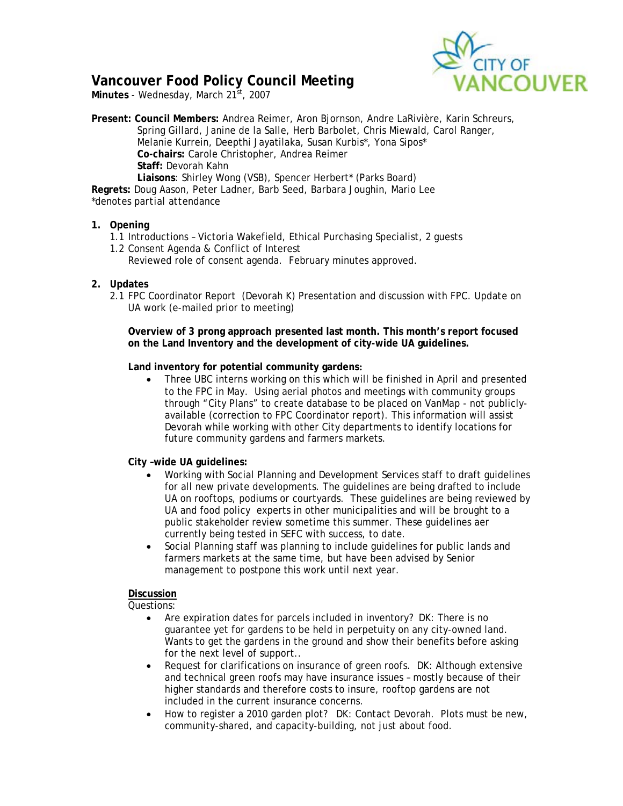

# **Vancouver Food Policy Council Meeting**

Minutes - Wednesday, March 21<sup>st</sup>, 2007

**Present: Council Members:** Andrea Reimer, Aron Bjornson, Andre LaRivière, Karin Schreurs, Spring Gillard, Janine de la Salle, Herb Barbolet, Chris Miewald, Carol Ranger, Melanie Kurrein, Deepthi Jayatilaka, Susan Kurbis\*, Yona Sipos\* **Co-chairs:** Carole Christopher, Andrea Reimer **Staff:** Devorah Kahn **Liaisons**: Shirley Wong (VSB), Spencer Herbert\* (Parks Board) **Regrets:** Doug Aason, Peter Ladner, Barb Seed, Barbara Joughin, Mario Lee

*\*denotes partial attendance* 

# **1. Opening**

- 1.1 Introductions Victoria Wakefield, Ethical Purchasing Specialist, 2 guests
- 1.2 Consent Agenda & Conflict of Interest Reviewed role of consent agenda. February minutes approved.

# **2. Updates**

2.1 FPC Coordinator Report (Devorah K) Presentation and discussion with FPC. Update on UA work (e-mailed prior to meeting)

**Overview of 3 prong approach presented last month. This month's report focused on the Land Inventory and the development of city-wide UA guidelines.** 

**Land inventory for potential community gardens:**

• Three UBC interns working on this which will be finished in April and presented to the FPC in May. Using aerial photos and meetings with community groups through "City Plans" to create database to be placed on VanMap - not publiclyavailable (correction to FPC Coordinator report). This information will assist Devorah while working with other City departments to identify locations for future community gardens and farmers markets.

# **City –wide UA guidelines:**

- Working with Social Planning and Development Services staff to draft guidelines for all new private developments. The guidelines are being drafted to include UA on rooftops, podiums or courtyards. These guidelines are being reviewed by UA and food policy experts in other municipalities and will be brought to a public stakeholder review sometime this summer. These guidelines aer currently being tested in SEFC with success, to date.
- Social Planning staff was planning to include guidelines for public lands and farmers markets at the same time, but have been advised by Senior management to postpone this work until next year.

# **Discussion**

Questions:

- Are expiration dates for parcels included in inventory? DK: There is no guarantee yet for gardens to be held in perpetuity on any city-owned land. Wants to get the gardens in the ground and show their benefits before asking for the next level of support..
- Request for clarifications on insurance of green roofs. DK: Although extensive and technical green roofs may have insurance issues – mostly because of their higher standards and therefore costs to insure, rooftop gardens are not included in the current insurance concerns.
- How to register a 2010 garden plot? DK: Contact Devorah. Plots must be new, community-shared, and capacity-building, not just about food.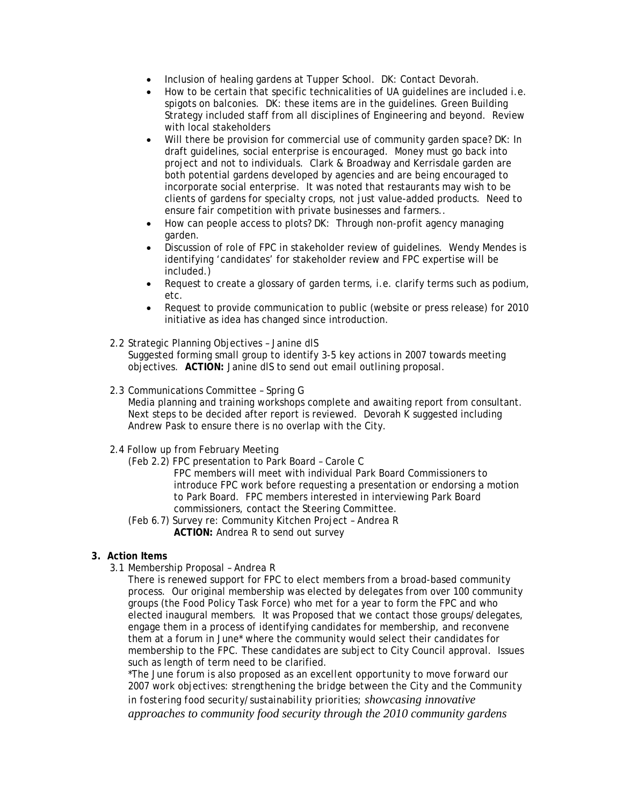- Inclusion of healing gardens at Tupper School. DK: Contact Devorah.
- How to be certain that specific technicalities of UA guidelines are included i.e. spigots on balconies. DK: these items are in the guidelines. Green Building Strategy included staff from all disciplines of Engineering and beyond. Review with local stakeholders
- Will there be provision for commercial use of community garden space? DK: In draft guidelines, social enterprise is encouraged. Money must go back into project and not to individuals. Clark & Broadway and Kerrisdale garden are both potential gardens developed by agencies and are being encouraged to incorporate social enterprise. It was noted that restaurants may wish to be clients of gardens for specialty crops, not just value-added products. Need to ensure fair competition with private businesses and farmers..
- How can people access to plots? DK: Through non-profit agency managing garden.
- Discussion of role of FPC in stakeholder review of guidelines. Wendy Mendes is identifying 'candidates' for stakeholder review and FPC expertise will be included.)
- Request to create a glossary of garden terms, i.e. clarify terms such as podium, etc.
- Request to provide communication to public (website or press release) for 2010 initiative as idea has changed since introduction.
- 2.2 Strategic Planning Objectives Janine dlS

Suggested forming small group to identify 3-5 key actions in 2007 towards meeting objectives. **ACTION:** Janine dlS to send out email outlining proposal.

2.3 Communications Committee – Spring G

Media planning and training workshops complete and awaiting report from consultant. Next steps to be decided after report is reviewed. Devorah K suggested including Andrew Pask to ensure there is no overlap with the City.

# 2.4 Follow up from February Meeting

(Feb 2.2) FPC presentation to Park Board – Carole C

FPC members will meet with individual Park Board Commissioners to introduce FPC work before requesting a presentation or endorsing a motion to Park Board. FPC members interested in interviewing Park Board commissioners, contact the Steering Committee.

 (Feb 6.7) Survey re: Community Kitchen Project – Andrea R **ACTION:** Andrea R to send out survey

# **3. Action Items**

3.1 Membership Proposal – Andrea R

There is renewed support for FPC to elect members from a broad-based community process. Our original membership was elected by delegates from over 100 community groups (the Food Policy Task Force) who met for a year to form the FPC and who elected inaugural members. It was Proposed that we contact those groups/delegates, engage them in a process of identifying candidates for membership, and reconvene them at a forum in June\* where the community would select their candidates for membership to the FPC. These candidates are subject to City Council approval. Issues such as length of term need to be clarified.

*\*The June forum is also proposed as an excellent opportunity to move forward our 2007 work objectives: strengthening the bridge between the City and the Community in fostering food security/sustainability priorities; showcasing innovative approaches to community food security through the 2010 community gardens*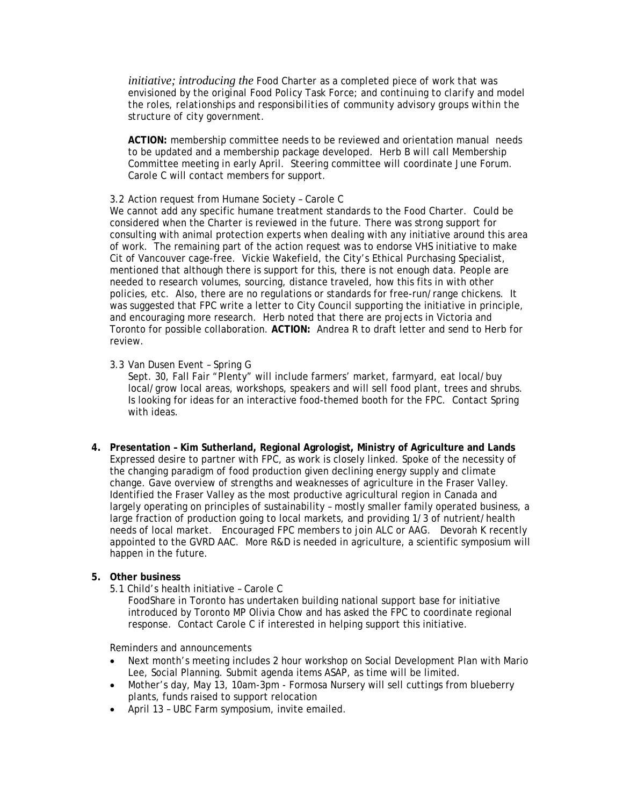*initiative; introducing the Food Charter as a completed piece of work that was envisioned by the original Food Policy Task Force; and continuing to clarify and model the roles, relationships and responsibilities of community advisory groups within the structure of city government.* 

**ACTION:** membership committee needs to be reviewed and orientation manual needs to be updated and a membership package developed. Herb B will call Membership Committee meeting in early April. Steering committee will coordinate June Forum. Carole C will contact members for support.

### 3.2 Action request from Humane Society – Carole C

We cannot add any specific humane treatment standards to the Food Charter. Could be considered when the Charter is reviewed in the future. There was strong support for consulting with animal protection experts when dealing with any initiative around this area of work. The remaining part of the action request was to endorse VHS initiative to make Cit of Vancouver cage-free. Vickie Wakefield, the City's Ethical Purchasing Specialist, mentioned that although there is support for this, there is not enough data. People are needed to research volumes, sourcing, distance traveled, how this fits in with other policies, etc. Also, there are no regulations or standards for free-run/range chickens. It was suggested that FPC write a letter to City Council supporting the initiative in principle, and encouraging more research. Herb noted that there are projects in Victoria and Toronto for possible collaboration. **ACTION:** Andrea R to draft letter and send to Herb for review.

### 3.3 Van Dusen Event – Spring G

Sept. 30, Fall Fair "Plenty" will include farmers' market, farmyard, eat local/buy local/grow local areas, workshops, speakers and will sell food plant, trees and shrubs. Is looking for ideas for an interactive food-themed booth for the FPC. Contact Spring with ideas.

**4. Presentation – Kim Sutherland, Regional Agrologist, Ministry of Agriculture and Lands**  Expressed desire to partner with FPC, as work is closely linked. Spoke of the necessity of the changing paradigm of food production given declining energy supply and climate change. Gave overview of strengths and weaknesses of agriculture in the Fraser Valley. Identified the Fraser Valley as the most productive agricultural region in Canada and largely operating on principles of sustainability – mostly smaller family operated business, a large fraction of production going to local markets, and providing 1/3 of nutrient/health needs of local market. Encouraged FPC members to join ALC or AAG. Devorah K recently appointed to the GVRD AAC. More R&D is needed in agriculture, a scientific symposium will happen in the future.

## **5. Other business**

5.1 Child's health initiative – Carole C

FoodShare in Toronto has undertaken building national support base for initiative introduced by Toronto MP Olivia Chow and has asked the FPC to coordinate regional response. Contact Carole C if interested in helping support this initiative.

# Reminders and announcements

- Next month's meeting includes 2 hour workshop on Social Development Plan with Mario Lee, Social Planning. Submit agenda items ASAP, as time will be limited.
- Mother's day, May 13, 10am-3pm Formosa Nursery will sell cuttings from blueberry plants, funds raised to support relocation
- April 13 UBC Farm symposium, invite emailed.